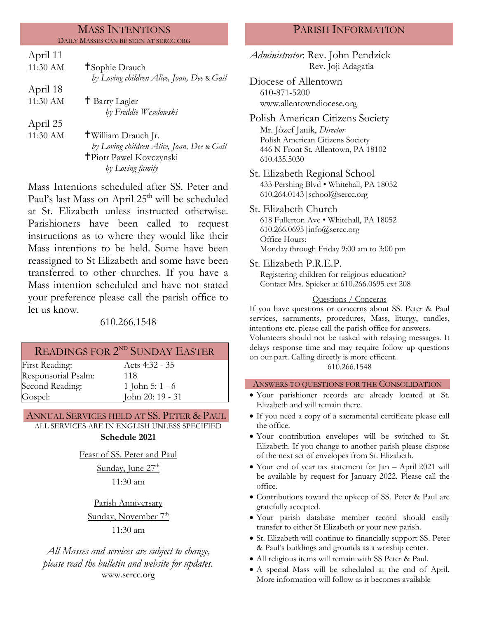#### MASS INTENTIONS DAILY MASSES CAN BE SEEN AT SERCC.ORG

| April 11 |                                            |
|----------|--------------------------------------------|
| 11:30 AM | <b>T</b> Sophie Drauch                     |
|          | by Loving children Alice, Joan, Dee & Gail |
| April 18 |                                            |
| 11:30 AM | <sup>†</sup> Barry Lagler                  |
|          | by Freddie Wesolowski                      |
| April 25 |                                            |
| 11:30 AM | <b>†William Drauch Jr.</b>                 |
|          | by Loving children Alice, Joan, Dee & Gail |
|          | <b>T</b> Piotr Pawel Kovczynski            |
|          | by Loving family                           |
|          |                                            |

Mass Intentions scheduled after SS. Peter and Paul's last Mass on April 25<sup>th</sup> will be scheduled at St. Elizabeth unless instructed otherwise. Parishioners have been called to request instructions as to where they would like their Mass intentions to be held. Some have been reassigned to St Elizabeth and some have been transferred to other churches. If you have a Mass intention scheduled and have not stated your preference please call the parish office to let us know.

610.266.1548

## READINGS FOR 2<sup>ND</sup> SUNDAY EASTER

First Reading: Acts 4:32 - 35 Responsorial Psalm: Second Reading: Gospel:

118 1 John 5: 1 - 6 John 20: 19 - 31

## ANNUAL SERVICES HELD AT SS. PETER & PAUL

ALL SERVICES ARE IN ENGLISH UNLESS SPECIFIED

**Schedule 2021**

Feast of SS. Peter and Paul Sunday, June 27<sup>th</sup> 11:30 am

Parish Anniversary Sunday, November 7<sup>th</sup> 11:30 am

*All Masses and services are subject to change, please read the bulletin and website for updates.* www.sercc.org

# PARISH INFORMATION

*Administrator*: Rev. John Pendzick Rev. Joji Adagatla Diocese of Allentown 610-871-5200

www.allentowndiocese.org

- Polish American Citizens Society Mr. Jòzef Janik, *Director* Polish American Citizens Society 446 N Front St. Allentown, PA 18102 610.435.5030
- St. Elizabeth Regional School 433 Pershing Blvd • Whitehall, PA 18052 610.264.0143|school@sercc.org

St. Elizabeth Church 618 Fullerton Ave • Whitehall, PA 18052 610.266.0695|info@sercc.org Office Hours: Monday through Friday 9:00 am to 3:00 pm

St. Elizabeth P.R.E.P.

Registering children for religious education? Contact Mrs. Spieker at 610.266.0695 ext 208

## Questions / Concerns

If you have questions or concerns about SS. Peter & Paul services, sacraments, procedures, Mass, liturgy, candles, intentions etc. please call the parish office for answers. Volunteers should not be tasked with relaying messages. It

delays response time and may require follow up questions on our part. Calling directly is more efficent.

610.266.1548

## ANSWERS TO QUESTIONS FOR THE CONSOLIDATION

- Your parishioner records are already located at St. Elizabeth and will remain there.
- If you need a copy of a sacramental certificate please call the office.
- Your contribution envelopes will be switched to St. Elizabeth. If you change to another parish please dispose of the next set of envelopes from St. Elizabeth.
- Your end of year tax statement for Jan April 2021 will be available by request for January 2022. Please call the office.
- Contributions toward the upkeep of SS. Peter & Paul are gratefully accepted.
- Your parish database member record should easily transfer to either St Elizabeth or your new parish.
- St. Elizabeth will continue to financially support SS. Peter & Paul's buildings and grounds as a worship center.
- All religious items will remain with SS Peter & Paul.
- A special Mass will be scheduled at the end of April. More information will follow as it becomes available